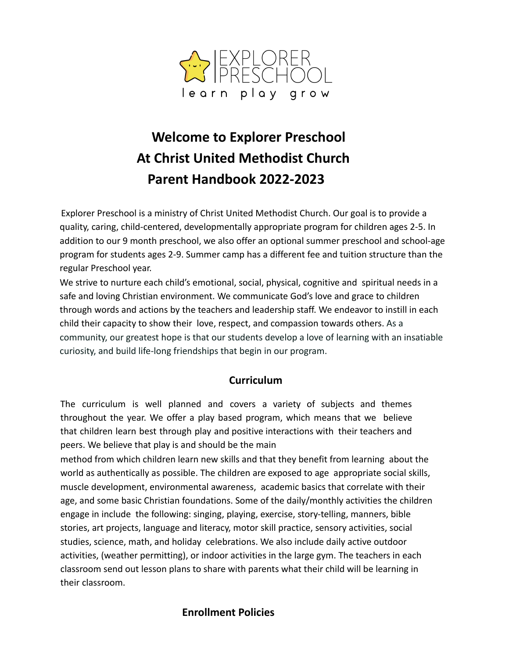

# **Welcome to Explorer Preschool At Christ United Methodist Church Parent Handbook 2022-2023**

Explorer Preschool is a ministry of Christ United Methodist Church. Our goal is to provide a quality, caring, child-centered, developmentally appropriate program for children ages 2-5. In addition to our 9 month preschool, we also offer an optional summer preschool and school-age program for students ages 2-9. Summer camp has a different fee and tuition structure than the regular Preschool year.

We strive to nurture each child's emotional, social, physical, cognitive and spiritual needs in a safe and loving Christian environment. We communicate God's love and grace to children through words and actions by the teachers and leadership staff. We endeavor to instill in each child their capacity to show their love, respect, and compassion towards others. As a community, our greatest hope is that our students develop a love of learning with an insatiable curiosity, and build life-long friendships that begin in our program.

#### **Curriculum**

The curriculum is well planned and covers a variety of subjects and themes throughout the year. We offer a play based program, which means that we believe that children learn best through play and positive interactions with their teachers and peers. We believe that play is and should be the main

method from which children learn new skills and that they benefit from learning about the world as authentically as possible. The children are exposed to age appropriate social skills, muscle development, environmental awareness, academic basics that correlate with their age, and some basic Christian foundations. Some of the daily/monthly activities the children engage in include the following: singing, playing, exercise, story-telling, manners, bible stories, art projects, language and literacy, motor skill practice, sensory activities, social studies, science, math, and holiday celebrations. We also include daily active outdoor activities, (weather permitting), or indoor activities in the large gym. The teachers in each classroom send out lesson plans to share with parents what their child will be learning in their classroom.

## **Enrollment Policies**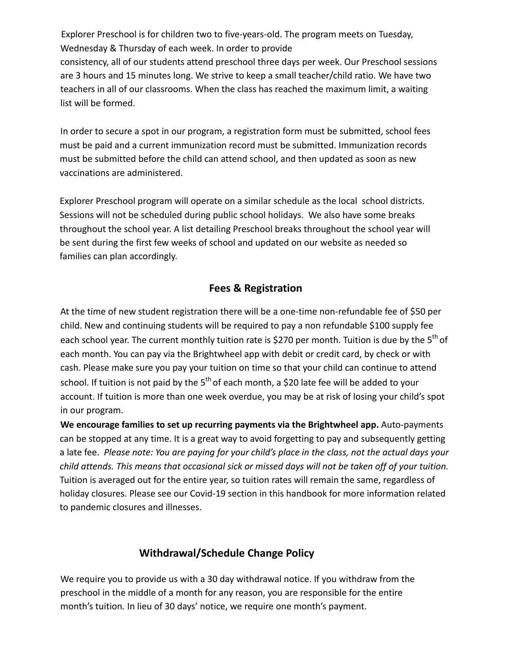Explorer Preschool is for children two to five-years-old. The program meets on Tuesday, Wednesday & Thursday of each week. In order to provide consistency, all of our students attend preschool three days per week. Our Preschool sessions are 3 hours and 15 minutes long. We strive to keep a small teacher/child ratio. We have two teachers in all of our classrooms. When the class has reached the maximum limit, a waiting list will be formed.

In order to secure a spot in our program, a registration form must be submitted, school fees must be paid and a current immunization record must be submitted. Immunization records must be submitted before the child can attend school, and then updated as soon as new vaccinations are administered.

Explorer Preschool program will operate on a similar schedule as the local school districts. Sessions will not be scheduled during public school holidays. We also have some breaks throughout the school year. A list detailing Preschool breaks throughout the school year will be sent during the first few weeks of school and updated on our website as needed so families can plan accordingly.

#### **Fees & Registration**

At the time of new student registration there will be a one-time non-refundable fee of \$50 per child. New and continuing students will be required to pay a non refundable \$100 supply fee each school year. The current monthly tuition rate is \$270 per month. Tuition is due by the 5<sup>th</sup> of each month. You can pay via the Brightwheel app with debit or credit card, by check or with cash. Please make sure you pay your tuition on time so that your child can continue to attend school. If tuition is not paid by the  $5<sup>th</sup>$  of each month, a \$20 late fee will be added to your account. If tuition is more than one week overdue, you may be at risk of losing your child's spot in our program.

**We encourage families to set up recurring payments via the Brightwheel app.** Auto-payments can be stopped at any time. It is a great way to avoid forgetting to pay and subsequently getting a late fee. *Please note: You are paying for your child's place in the class, not the actual days your child attends. This means that occasional sick or missed days will not be taken off of your tuition.* Tuition is averaged out for the entire year, so tuition rates will remain the same, regardless of holiday closures. Please see our Covid-19 section in this handbook for more information related to pandemic closures and illnesses.

#### **Withdrawal/Schedule Change Policy**

We require you to provide us with a 30 day withdrawal notice. If you withdraw from the preschool in the middle of a month for any reason, you are responsible for the entire month's tuition*.* In lieu of 30 days' notice, we require one month's payment.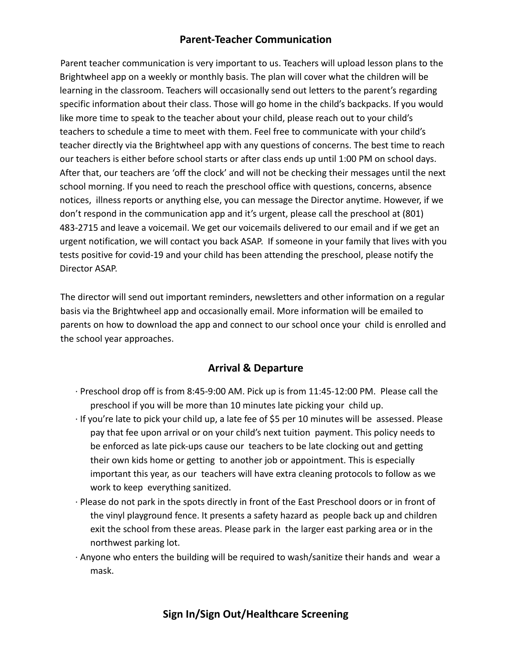## **Parent-Teacher Communication**

Parent teacher communication is very important to us. Teachers will upload lesson plans to the Brightwheel app on a weekly or monthly basis. The plan will cover what the children will be learning in the classroom. Teachers will occasionally send out letters to the parent's regarding specific information about their class. Those will go home in the child's backpacks. If you would like more time to speak to the teacher about your child, please reach out to your child's teachers to schedule a time to meet with them. Feel free to communicate with your child's teacher directly via the Brightwheel app with any questions of concerns. The best time to reach our teachers is either before school starts or after class ends up until 1:00 PM on school days. After that, our teachers are 'off the clock' and will not be checking their messages until the next school morning. If you need to reach the preschool office with questions, concerns, absence notices, illness reports or anything else, you can message the Director anytime. However, if we don't respond in the communication app and it's urgent, please call the preschool at (801) 483-2715 and leave a voicemail. We get our voicemails delivered to our email and if we get an urgent notification, we will contact you back ASAP. If someone in your family that lives with you tests positive for covid-19 and your child has been attending the preschool, please notify the Director ASAP.

The director will send out important reminders, newsletters and other information on a regular basis via the Brightwheel app and occasionally email. More information will be emailed to parents on how to download the app and connect to our school once your child is enrolled and the school year approaches.

## **Arrival & Departure**

- ∙ Preschool drop off is from 8:45-9:00 AM. Pick up is from 11:45-12:00 PM. Please call the preschool if you will be more than 10 minutes late picking your child up.
- ∙ If you're late to pick your child up, a late fee of \$5 per 10 minutes will be assessed. Please pay that fee upon arrival or on your child's next tuition payment. This policy needs to be enforced as late pick-ups cause our teachers to be late clocking out and getting their own kids home or getting to another job or appointment. This is especially important this year, as our teachers will have extra cleaning protocols to follow as we work to keep everything sanitized.
- ∙ Please do not park in the spots directly in front of the East Preschool doors or in front of the vinyl playground fence. It presents a safety hazard as people back up and children exit the school from these areas. Please park in the larger east parking area or in the northwest parking lot.
- ∙ Anyone who enters the building will be required to wash/sanitize their hands and wear a mask.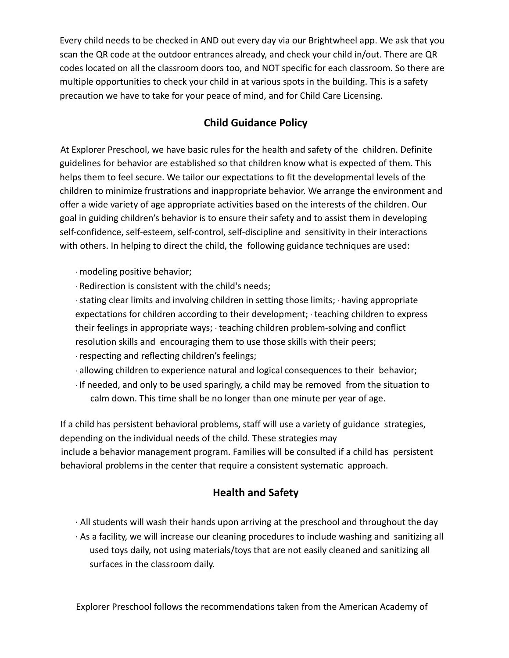Every child needs to be checked in AND out every day via our Brightwheel app. We ask that you scan the QR code at the outdoor entrances already, and check your child in/out. There are QR codes located on all the classroom doors too, and NOT specific for each classroom. So there are multiple opportunities to check your child in at various spots in the building. This is a safety precaution we have to take for your peace of mind, and for Child Care Licensing.

# **Child Guidance Policy**

At Explorer Preschool, we have basic rules for the health and safety of the children. Definite guidelines for behavior are established so that children know what is expected of them. This helps them to feel secure. We tailor our expectations to fit the developmental levels of the children to minimize frustrations and inappropriate behavior. We arrange the environment and offer a wide variety of age appropriate activities based on the interests of the children. Our goal in guiding children's behavior is to ensure their safety and to assist them in developing self-confidence, self-esteem, self-control, self-discipline and sensitivity in their interactions with others. In helping to direct the child, the following guidance techniques are used:

- ∙ modeling positive behavior;
- ∙ Redirection is consistent with the child's needs;

∙stating clear limits and involving children in setting those limits; ∙ having appropriate expectations for children according to their development; ∙ teaching children to express their feelings in appropriate ways; ∙ teaching children problem-solving and conflict resolution skills and encouraging them to use those skills with their peers;

- ∙ respecting and reflecting children's feelings;
- ∙ allowing children to experience natural and logical consequences to their behavior;
- ∙ If needed, and only to be used sparingly, a child may be removed from the situation to calm down. This time shall be no longer than one minute per year of age.

If a child has persistent behavioral problems, staff will use a variety of guidance strategies, depending on the individual needs of the child. These strategies may include a behavior management program. Families will be consulted if a child has persistent behavioral problems in the center that require a consistent systematic approach.

## **Health and Safety**

- ∙ All students will wash their hands upon arriving at the preschool and throughout the day
- ∙ As a facility, we will increase our cleaning procedures to include washing and sanitizing all used toys daily, not using materials/toys that are not easily cleaned and sanitizing all surfaces in the classroom daily.

Explorer Preschool follows the recommendations taken from the American Academy of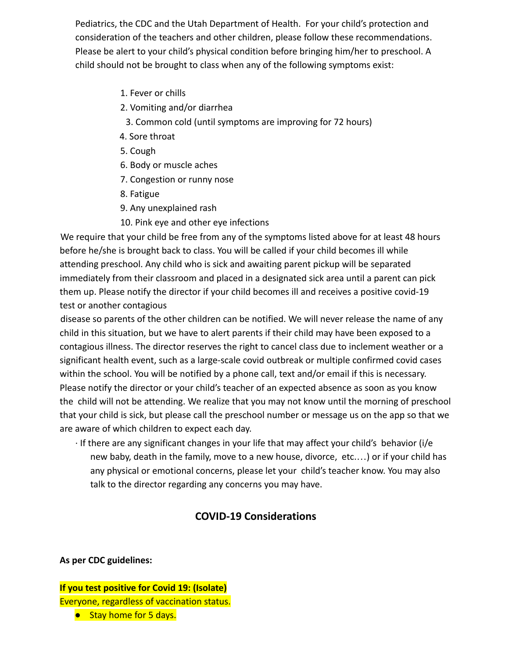Pediatrics, the CDC and the Utah Department of Health. For your child's protection and consideration of the teachers and other children, please follow these recommendations. Please be alert to your child's physical condition before bringing him/her to preschool. A child should not be brought to class when any of the following symptoms exist:

- 1. Fever or chills
- 2. Vomiting and/or diarrhea
	- 3. Common cold (until symptoms are improving for 72 hours)
- 4. Sore throat
- 5. Cough
- 6. Body or muscle aches
- 7. Congestion or runny nose
- 8. Fatigue
- 9. Any unexplained rash
- 10. Pink eye and other eye infections

We require that your child be free from any of the symptoms listed above for at least 48 hours before he/she is brought back to class. You will be called if your child becomes ill while attending preschool. Any child who is sick and awaiting parent pickup will be separated immediately from their classroom and placed in a designated sick area until a parent can pick them up. Please notify the director if your child becomes ill and receives a positive covid-19 test or another contagious

disease so parents of the other children can be notified. We will never release the name of any child in this situation, but we have to alert parents if their child may have been exposed to a contagious illness. The director reserves the right to cancel class due to inclement weather or a significant health event, such as a large-scale covid outbreak or multiple confirmed covid cases within the school. You will be notified by a phone call, text and/or email if this is necessary. Please notify the director or your child's teacher of an expected absence as soon as you know the child will not be attending. We realize that you may not know until the morning of preschool that your child is sick, but please call the preschool number or message us on the app so that we are aware of which children to expect each day.

∙ If there are any significant changes in your life that may affect your child's behavior (i/e new baby, death in the family, move to a new house, divorce, etc.…) or if your child has any physical or emotional concerns, please let your child's teacher know. You may also talk to the director regarding any concerns you may have.

# **COVID-19 Considerations**

**As per CDC guidelines:**

#### **If you test positive for Covid 19: (Isolate)** Everyone, regardless of vaccination status. ● Stay home for 5 days.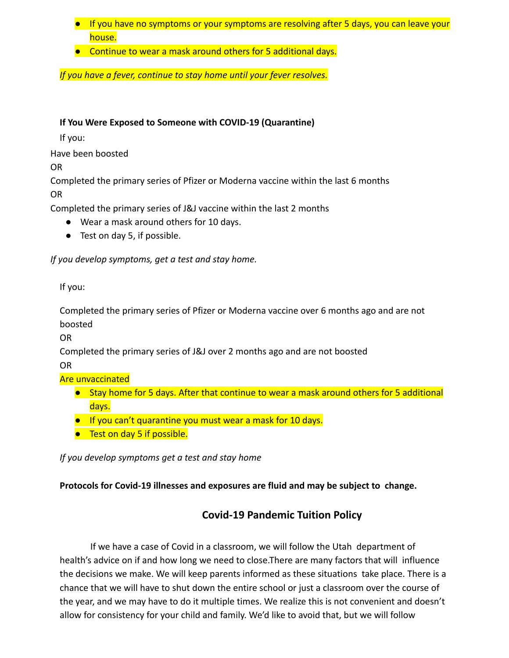- If you have no symptoms or your symptoms are resolving after 5 days, you can leave your house.
- Continue to wear a mask around others for 5 additional days.

*If you have a fever, continue to stay home until your fever resolves.*

#### **If You Were Exposed to Someone with COVID-19 (Quarantine)**

If you:

Have been boosted

OR

Completed the primary series of Pfizer or Moderna vaccine within the last 6 months OR

Completed the primary series of J&J vaccine within the last 2 months

- Wear a mask around others for 10 days.
- Test on day 5, if possible.

*If you develop symptoms, get a test and stay home.*

If you:

Completed the primary series of Pfizer or Moderna vaccine over 6 months ago and are not boosted

OR

Completed the primary series of J&J over 2 months ago and are not boosted

OR

Are unvaccinated

- Stay home for 5 days. After that continue to wear a mask around others for 5 additional days.
- If you can't quarantine you must wear a mask for 10 days.
- Test on day 5 if possible.

*If you develop symptoms get a test and stay home*

#### **Protocols for Covid-19 illnesses and exposures are fluid and may be subject to change.**

## **Covid-19 Pandemic Tuition Policy**

If we have a case of Covid in a classroom, we will follow the Utah department of health's advice on if and how long we need to close.There are many factors that will influence the decisions we make. We will keep parents informed as these situations take place. There is a chance that we will have to shut down the entire school or just a classroom over the course of the year, and we may have to do it multiple times. We realize this is not convenient and doesn't allow for consistency for your child and family. We'd like to avoid that, but we will follow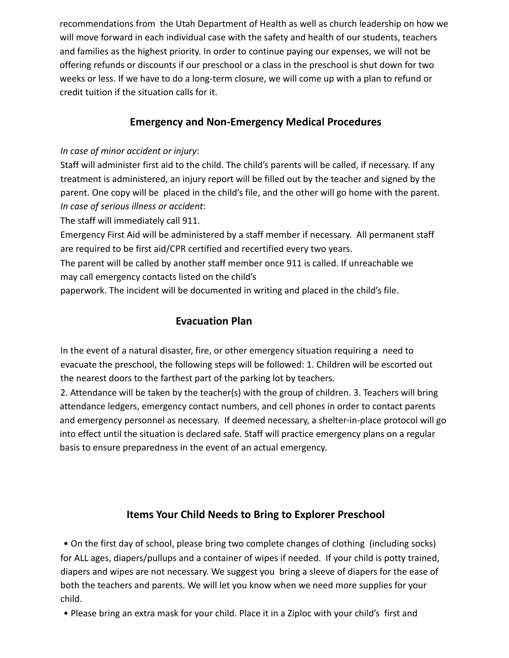recommendations from the Utah Department of Health as well as church leadership on how we will move forward in each individual case with the safety and health of our students, teachers and families as the highest priority. In order to continue paying our expenses, we will not be offering refunds or discounts if our preschool or a class in the preschool is shut down for two weeks or less. If we have to do a long-term closure, we will come up with a plan to refund or credit tuition if the situation calls for it.

# **Emergency and Non-Emergency Medical Procedures**

#### *In case of minor accident or injury*:

Staff will administer first aid to the child. The child's parents will be called, if necessary. If any treatment is administered, an injury report will be filled out by the teacher and signed by the parent. One copy will be placed in the child's file, and the other will go home with the parent. *In case of serious illness or accident*:

The staff will immediately call 911.

Emergency First Aid will be administered by a staff member if necessary. All permanent staff are required to be first aid/CPR certified and recertified every two years.

The parent will be called by another staff member once 911 is called. If unreachable we may call emergency contacts listed on the child's

paperwork. The incident will be documented in writing and placed in the child's file.

# **Evacuation Plan**

In the event of a natural disaster, fire, or other emergency situation requiring a need to evacuate the preschool, the following steps will be followed: 1. Children will be escorted out the nearest doors to the farthest part of the parking lot by teachers.

2. Attendance will be taken by the teacher(s) with the group of children. 3. Teachers will bring attendance ledgers, emergency contact numbers, and cell phones in order to contact parents and emergency personnel as necessary. If deemed necessary, a shelter-in-place protocol will go into effect until the situation is declared safe. Staff will practice emergency plans on a regular basis to ensure preparedness in the event of an actual emergency.

# **Items Your Child Needs to Bring to Explorer Preschool**

• On the first day of school, please bring two complete changes of clothing (including socks) for ALL ages, diapers/pullups and a container of wipes if needed. If your child is potty trained, diapers and wipes are not necessary. We suggest you bring a sleeve of diapers for the ease of both the teachers and parents. We will let you know when we need more supplies for your child.

• Please bring an extra mask for your child. Place it in a Ziploc with your child's first and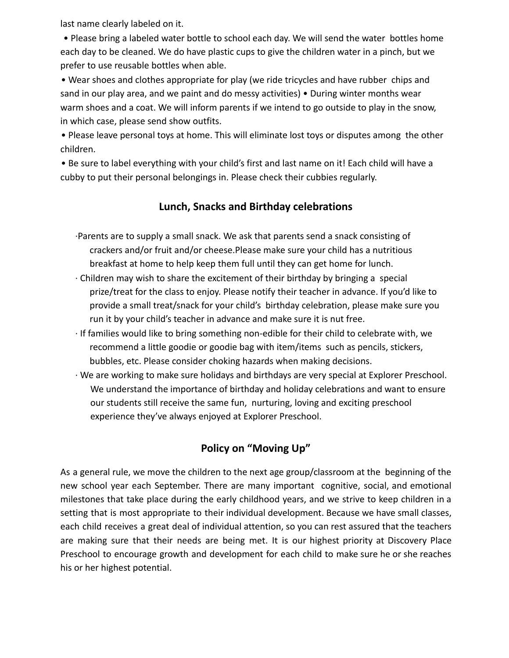last name clearly labeled on it.

• Please bring a labeled water bottle to school each day. We will send the water bottles home each day to be cleaned. We do have plastic cups to give the children water in a pinch, but we prefer to use reusable bottles when able.

• Wear shoes and clothes appropriate for play (we ride tricycles and have rubber chips and sand in our play area, and we paint and do messy activities) • During winter months wear warm shoes and a coat. We will inform parents if we intend to go outside to play in the snow, in which case, please send show outfits.

• Please leave personal toys at home. This will eliminate lost toys or disputes among the other children.

• Be sure to label everything with your child's first and last name on it! Each child will have a cubby to put their personal belongings in. Please check their cubbies regularly.

#### **Lunch, Snacks and Birthday celebrations**

- ∙Parents are to supply a small snack. We ask that parents send a snack consisting of crackers and/or fruit and/or cheese.Please make sure your child has a nutritious breakfast at home to help keep them full until they can get home for lunch.
- ∙ Children may wish to share the excitement of their birthday by bringing a special prize/treat for the class to enjoy. Please notify their teacher in advance. If you'd like to provide a small treat/snack for your child's birthday celebration, please make sure you run it by your child's teacher in advance and make sure it is nut free.
- ∙ If families would like to bring something non-edible for their child to celebrate with, we recommend a little goodie or goodie bag with item/items such as pencils, stickers, bubbles, etc. Please consider choking hazards when making decisions.
- ∙ We are working to make sure holidays and birthdays are very special at Explorer Preschool. We understand the importance of birthday and holiday celebrations and want to ensure our students still receive the same fun, nurturing, loving and exciting preschool experience they've always enjoyed at Explorer Preschool.

# **Policy on "Moving Up"**

As a general rule, we move the children to the next age group/classroom at the beginning of the new school year each September. There are many important cognitive, social, and emotional milestones that take place during the early childhood years, and we strive to keep children in a setting that is most appropriate to their individual development. Because we have small classes, each child receives a great deal of individual attention, so you can rest assured that the teachers are making sure that their needs are being met. It is our highest priority at Discovery Place Preschool to encourage growth and development for each child to make sure he or she reaches his or her highest potential.